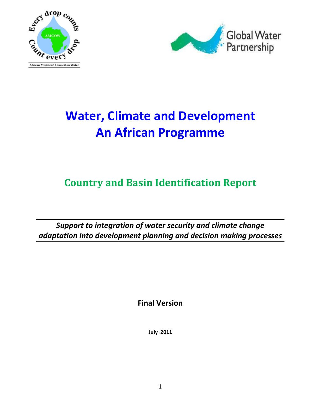



# **Water, Climate and Development An African Programme**

## **Country and Basin Identification Report**

*Support to integration of water security and climate change adaptation into development planning and decision making processes*

**Final Version**

**July 2011**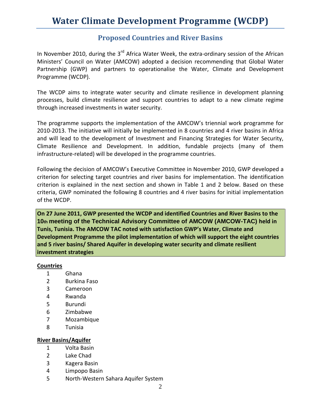### **Proposed Countries and River Basins**

In November 2010, during the  $3<sup>rd</sup>$  Africa Water Week, the extra-ordinary session of the African Ministers' Council on Water (AMCOW) adopted a decision recommending that Global Water Partnership (GWP) and partners to operationalise the Water, Climate and Development Programme (WCDP).

The WCDP aims to integrate water security and climate resilience in development planning processes, build climate resilience and support countries to adapt to a new climate regime through increased investments in water security.

The programme supports the implementation of the AMCOW's triennial work programme for 2010-2013. The initiative will initially be implemented in 8 countries and 4 river basins in Africa and will lead to the development of Investment and Financing Strategies for Water Security, Climate Resilience and Development. In addition, fundable projects (many of them infrastructure-related) will be developed in the programme countries.

Following the decision of AMCOW's Executive Committee in November 2010, GWP developed a criterion for selecting target countries and river basins for implementation. The identification criterion is explained in the next section and shown in Table 1 and 2 below. Based on these criteria, GWP nominated the following 8 countries and 4 river basins for initial implementation of the WCDP.

**On 27 June 2011, GWP presented the WCDP and identified Countries and River Basins to the 10th meeting of the Technical Advisory Committee of AMCOW (AMCOW-TAC) held in Tunis, Tunisia. The AMCOW TAC noted with satisfaction GWP's Water, Climate and Development Programme the pilot implementation of which will support the eight countries and 5 river basins/ Shared Aquifer in developing water security and climate resilient investment strategies**

#### **Countries**

- 1 Ghana
- 2 Burkina Faso
- 3 Cameroon
- 4 Rwanda
- 5 Burundi
- 6 Zimbabwe
- 7 Mozambique
- 8 Tunisia

#### **River Basins/Aquifer**

- 1 Volta Basin
- 2 Lake Chad
- 3 Kagera Basin
- 4 Limpopo Basin
- 5 North-Western Sahara Aquifer System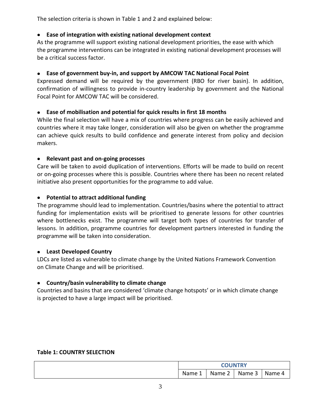The selection criteria is shown in Table 1 and 2 and explained below:

#### **Ease of integration with existing national development context**

As the programme will support existing national development priorities, the ease with which the programme interventions can be integrated in existing national development processes will be a critical success factor.

#### **Ease of government buy-in, and support by AMCOW TAC National Focal Point**

Expressed demand will be required by the government (RBO for river basin). In addition, confirmation of willingness to provide in-country leadership by government and the National Focal Point for AMCOW TAC will be considered.

#### **Ease of mobilisation and potential for quick results in first 18 months**

While the final selection will have a mix of countries where progress can be easily achieved and countries where it may take longer, consideration will also be given on whether the programme can achieve quick results to build confidence and generate interest from policy and decision makers.

#### **Relevant past and on-going processes**  $\bullet$

Care will be taken to avoid duplication of interventions. Efforts will be made to build on recent or on-going processes where this is possible. Countries where there has been no recent related initiative also present opportunities for the programme to add value.

#### **Potential to attract additional funding**   $\bullet$

The programme should lead to implementation. Countries/basins where the potential to attract funding for implementation exists will be prioritised to generate lessons for other countries where bottlenecks exist. The programme will target both types of countries for transfer of lessons. In addition, programme countries for development partners interested in funding the programme will be taken into consideration.

#### **Least Developed Country**

LDCs are listed as vulnerable to climate change by the United Nations Framework Convention on Climate Change and will be prioritised.

#### **Country/basin vulnerability to climate change**

Countries and basins that are considered 'climate change hotspots' or in which climate change is projected to have a large impact will be prioritised.

#### **Table 1: COUNTRY SELECTION**

|                       | <b>COUNTRY</b> |        |        |  |
|-----------------------|----------------|--------|--------|--|
| Name<br><u>. на с</u> | Name $\angle$  | Name 5 | Name 4 |  |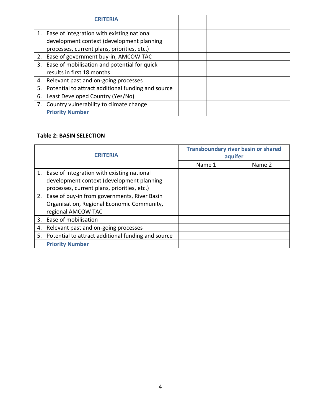|    | 1. Ease of integration with existing national         |  |  |
|----|-------------------------------------------------------|--|--|
|    | development context (development planning             |  |  |
|    | processes, current plans, priorities, etc.)           |  |  |
|    | 2. Ease of government buy-in, AMCOW TAC               |  |  |
|    | 3. Ease of mobilisation and potential for quick       |  |  |
|    | results in first 18 months                            |  |  |
|    | 4. Relevant past and on-going processes               |  |  |
|    | 5. Potential to attract additional funding and source |  |  |
| 6. | Least Developed Country (Yes/No)                      |  |  |
|    | 7. Country vulnerability to climate change            |  |  |
|    | <b>Priority Number</b>                                |  |  |

#### **Table 2: BASIN SELECTION**

| <b>CRITERIA</b> |                                                       | <b>Transboundary river basin or shared</b><br>aquifer |        |  |
|-----------------|-------------------------------------------------------|-------------------------------------------------------|--------|--|
|                 |                                                       |                                                       |        |  |
|                 |                                                       | Name 1                                                | Name 2 |  |
|                 | 1. Ease of integration with existing national         |                                                       |        |  |
|                 | development context (development planning             |                                                       |        |  |
|                 | processes, current plans, priorities, etc.)           |                                                       |        |  |
|                 | 2. Ease of buy-in from governments, River Basin       |                                                       |        |  |
|                 | Organisation, Regional Economic Community,            |                                                       |        |  |
|                 | regional AMCOW TAC                                    |                                                       |        |  |
|                 | 3. Ease of mobilisation                               |                                                       |        |  |
| 4.              | Relevant past and on-going processes                  |                                                       |        |  |
|                 | 5. Potential to attract additional funding and source |                                                       |        |  |
|                 | <b>Priority Number</b>                                |                                                       |        |  |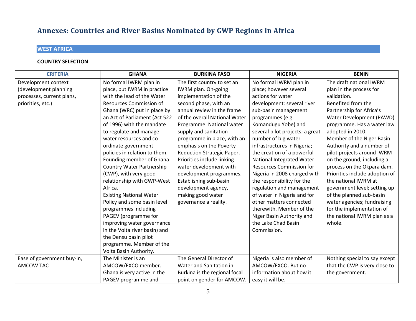## Annexes: Countries and River Basins Nominated by GWP Regions in Africa

### **WEST AFRICA**

| <b>CRITERIA</b>            | <b>GHANA</b>                     | <b>BURKINA FASO</b>           | <b>NIGERIA</b>                  | <b>BENIN</b>                   |
|----------------------------|----------------------------------|-------------------------------|---------------------------------|--------------------------------|
| Development context        | No formal IWRM plan in           | The first country to set an   | No formal IWRM plan in          | The draft national IWRM        |
| (development planning      | place, but IWRM in practice      | IWRM plan. On-going           | place; however several          | plan in the process for        |
| processes, current plans,  | with the lead of the Water       | implementation of the         | actions for water               | validation.                    |
| priorities, etc.)          | <b>Resources Commission of</b>   | second phase, with an         | development: several river      | Benefited from the             |
|                            | Ghana (WRC) put in place by      | annual review in the frame    | sub-basin management            | Partnership for Africa's       |
|                            | an Act of Parliament (Act 522    | of the overall National Water | programmes (e.g.                | Water Development (PAWD)       |
|                            | of 1996) with the mandate        | Programme. National water     | Komandugu Yobe) and             | programme. Has a water law     |
|                            | to regulate and manage           | supply and sanitation         | several pilot projects; a great | adopted in 2010.               |
|                            | water resources and co-          | programme in place, with an   | number of big water             | Member of the Niger Basin      |
|                            | ordinate government              | emphasis on the Poverty       | infrastructures in Nigeria;     | Authority and a number of      |
|                            | policies in relation to them.    | Reduction Strategic Paper.    | the creation of a powerful      | pilot projects around IWRM     |
|                            | Founding member of Ghana         | Priorities include linking    | National Integrated Water       | on the ground, including a     |
|                            | <b>Country Water Partnership</b> | water development with        | <b>Resources Commission for</b> | process on the Okpara dam.     |
|                            | (CWP), with very good            | development programmes.       | Nigeria in 2008 charged with    | Priorities include adoption of |
|                            | relationship with GWP-West       | Establishing sub-basin        | the responsibility for the      | the national IWRM at           |
|                            | Africa.                          | development agency,           | regulation and management       | government level; setting up   |
|                            | <b>Existing National Water</b>   | making good water             | of water in Nigeria and for     | of the planned sub-basin       |
|                            | Policy and some basin level      | governance a reality.         | other matters connected         | water agencies; fundraising    |
|                            | programmes including             |                               | therewith. Member of the        | for the implementation of      |
|                            | PAGEV (programme for             |                               | Niger Basin Authority and       | the national IWRM plan as a    |
|                            | improving water governance       |                               | the Lake Chad Basin             | whole.                         |
|                            | in the Volta river basin) and    |                               | Commission.                     |                                |
|                            | the Densu basin pilot            |                               |                                 |                                |
|                            | programme. Member of the         |                               |                                 |                                |
|                            | Volta Basin Authority.           |                               |                                 |                                |
| Ease of government buy-in, | The Minister is an               | The General Director of       | Nigeria is also member of       | Nothing special to say except  |
| <b>AMCOW TAC</b>           | AMCOW/EXCO member.               | Water and Sanitation in       | AMCOW/EXCO. But no              | that the CWP is very close to  |
|                            | Ghana is very active in the      | Burkina is the regional focal | information about how it        | the government.                |
|                            | PAGEV programme and              | point on gender for AMCOW.    | easy it will be.                |                                |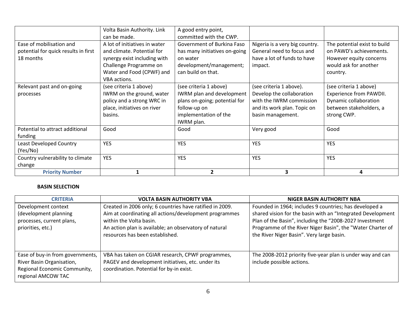|                                                                               | Volta Basin Authority. Link<br>can be made.                                                                                                                        | A good entry point,<br>committed with the CWP.                                                                                              |                                                                                                                                      |                                                                                                                         |
|-------------------------------------------------------------------------------|--------------------------------------------------------------------------------------------------------------------------------------------------------------------|---------------------------------------------------------------------------------------------------------------------------------------------|--------------------------------------------------------------------------------------------------------------------------------------|-------------------------------------------------------------------------------------------------------------------------|
| Ease of mobilisation and<br>potential for quick results in first<br>18 months | A lot of initiatives in water<br>and climate. Potential for<br>synergy exist including with<br>Challenge Programme on<br>Water and Food (CPWF) and<br>VBA actions. | Government of Burkina Faso<br>has many initiatives on-going<br>on water<br>development/management;<br>can build on that.                    | Nigeria is a very big country.<br>General need to focus and<br>have a lot of funds to have<br>impact.                                | The potential exist to build<br>on PAWD's achievements.<br>However equity concerns<br>would ask for another<br>country. |
| Relevant past and on-going<br>processes                                       | (see criteria 1 above)<br>IWRM on the ground, water<br>policy and a strong WRC in<br>place, initiatives on river<br>basins.                                        | (see criteria 1 above)<br>IWRM plan and development<br>plans on-going; potential for<br>follow-up on<br>implementation of the<br>IWRM plan. | (see criteria 1 above).<br>Develop the collaboration<br>with the IWRM commission<br>and its work plan. Topic on<br>basin management. | (see criteria 1 above)<br>Experience from PAWDII.<br>Dynamic collaboration<br>between stakeholders, a<br>strong CWP.    |
| Potential to attract additional<br>funding                                    | Good                                                                                                                                                               | Good                                                                                                                                        | Very good                                                                                                                            | Good                                                                                                                    |
| <b>Least Developed Country</b><br>(Yes/No)                                    | <b>YES</b>                                                                                                                                                         | <b>YES</b>                                                                                                                                  | <b>YES</b>                                                                                                                           | <b>YES</b>                                                                                                              |
| Country vulnerability to climate<br>change                                    | <b>YES</b>                                                                                                                                                         | <b>YES</b>                                                                                                                                  | <b>YES</b>                                                                                                                           | <b>YES</b>                                                                                                              |
| <b>Priority Number</b>                                                        |                                                                                                                                                                    | $\mathbf{z}$                                                                                                                                | 3                                                                                                                                    | 4                                                                                                                       |

| <b>CRITERIA</b>                                                                                                     | <b>VOLTA BASIN AUTHORITY VBA</b>                                                                                                                   | NIGER BASIN AUTHORITY NBA                                                                                                                                                            |
|---------------------------------------------------------------------------------------------------------------------|----------------------------------------------------------------------------------------------------------------------------------------------------|--------------------------------------------------------------------------------------------------------------------------------------------------------------------------------------|
| Development context                                                                                                 | Created in 2006 only; 6 countries have ratified in 2009.                                                                                           | Founded in 1964; includes 9 countries; has developed a                                                                                                                               |
| (development planning<br>processes, current plans,<br>priorities, etc.)                                             | Aim at coordinating all actions/development programmes<br>within the Volta basin.<br>An action plan is available; an observatory of natural        | shared vision for the basin with an "Integrated Development<br>Plan of the Basin", including the "2008-2027 Investment<br>Programme of the River Niger Basin", the "Water Charter of |
|                                                                                                                     | resources has been established.                                                                                                                    | the River Niger Basin". Very large basin.                                                                                                                                            |
| Ease of buy-in from governments,<br>River Basin Organisation,<br>Regional Economic Community,<br>regional AMCOW TAC | VBA has taken on CGIAR research, CPWF programmes,<br>PAGEV and development initiatives, etc. under its<br>coordination. Potential for by-in exist. | The 2008-2012 priority five-year plan is under way and can<br>include possible actions.                                                                                              |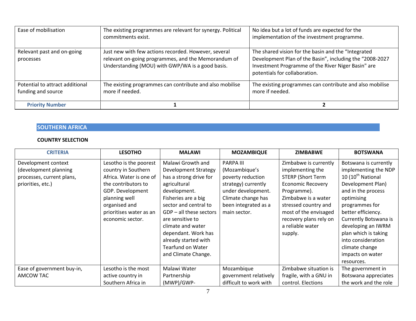| Ease of mobilisation                                  | The existing programmes are relevant for synergy. Political<br>commitments exist.                                                                               | No idea but a lot of funds are expected for the<br>implementation of the investment programme.                                                                                                         |
|-------------------------------------------------------|-----------------------------------------------------------------------------------------------------------------------------------------------------------------|--------------------------------------------------------------------------------------------------------------------------------------------------------------------------------------------------------|
| Relevant past and on-going<br>processes               | Just new with few actions recorded. However, several<br>relevant on-going programmes, and the Memorandum of<br>Understanding (MOU) with GWP/WA is a good basis. | The shared vision for the basin and the "Integrated<br>Development Plan of the Basin", including the "2008-2027<br>Investment Programme of the River Niger Basin" are<br>potentials for collaboration. |
| Potential to attract additional<br>funding and source | The existing programmes can contribute and also mobilise<br>more if needed.                                                                                     | The existing programmes can contribute and also mobilise<br>more if needed.                                                                                                                            |
| <b>Priority Number</b>                                |                                                                                                                                                                 |                                                                                                                                                                                                        |

#### **SOUTHERN AFRICA**

| <b>CRITERIA</b>                                                                                | <b>LESOTHO</b>                                                                                                                                                                                       | <b>MALAWI</b>                                                                                                                                                                                                                                                                                                                      | <b>MOZAMBIQUE</b>                                                                                                                                                 | <b>ZIMBABWE</b>                                                                                                                                                                                                                                   | <b>BOTSWANA</b>                                                                                                                                                                                                                                                                                                                  |
|------------------------------------------------------------------------------------------------|------------------------------------------------------------------------------------------------------------------------------------------------------------------------------------------------------|------------------------------------------------------------------------------------------------------------------------------------------------------------------------------------------------------------------------------------------------------------------------------------------------------------------------------------|-------------------------------------------------------------------------------------------------------------------------------------------------------------------|---------------------------------------------------------------------------------------------------------------------------------------------------------------------------------------------------------------------------------------------------|----------------------------------------------------------------------------------------------------------------------------------------------------------------------------------------------------------------------------------------------------------------------------------------------------------------------------------|
| Development context<br>(development planning<br>processes, current plans,<br>priorities, etc.) | Lesotho is the poorest<br>country in Southern<br>Africa. Water is one of<br>the contributors to<br>GDP. Development<br>planning well<br>organised and<br>prioritises water as an<br>economic sector. | Malawi Growth and<br><b>Development Strategy</b><br>has a strong drive for<br>agricultural<br>development.<br>Fisheries are a big<br>sector and central to<br>$GDP - all$ these sectors<br>are sensitive to<br>climate and water<br>dependant. Work has<br>already started with<br><b>Tearfund on Water</b><br>and Climate Change. | <b>PARPA III</b><br>(Mozambique's<br>poverty reduction<br>strategy) currently<br>under development.<br>Climate change has<br>been integrated as a<br>main sector. | Zimbabwe is currently<br>implementing the<br><b>STERP (Short Term</b><br><b>Economic Recovery</b><br>Programme).<br>Zimbabwe is a water<br>stressed country and<br>most of the envisaged<br>recovery plans rely on<br>a reliable water<br>supply. | Botswana is currently<br>implementing the NDP<br>10 (10 <sup>th</sup> National<br>Development Plan)<br>and in the process<br>optimising<br>programmes for<br>better efficiency.<br>Currently Botswana is<br>developing an IWRM<br>plan which is taking<br>into consideration<br>climate change<br>impacts on water<br>resources. |
| Ease of government buy-in,<br>AMCOW TAC                                                        | Lesotho is the most<br>active country in<br>Southern Africa in                                                                                                                                       | Malawi Water<br>Partnership<br>(MWP)/GWP-                                                                                                                                                                                                                                                                                          | Mozambique<br>government relatively<br>difficult to work with                                                                                                     | Zimbabwe situation is<br>fragile, with a GNU in<br>control. Elections                                                                                                                                                                             | The government in<br>Botswana appreciates<br>the work and the role                                                                                                                                                                                                                                                               |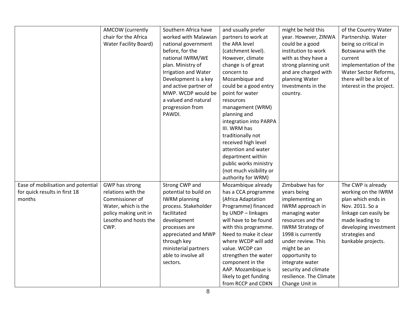|                                                                               | <b>AMCOW</b> (currently<br>chair for the Africa<br><b>Water Facility Board)</b>                                                          | Southern Africa have<br>worked with Malawian<br>national government<br>before, for the<br>national IWRM/WE<br>plan. Ministry of<br>Irrigation and Water<br>Development is a key<br>and active partner of<br>MWP. WCDP would be<br>a valued and natural<br>progression from<br>PAWDI. | and usually prefer<br>partners to work at<br>the ARA level<br>(catchment level).<br>However, climate<br>change is of great<br>concern to<br>Mozambique and<br>could be a good entry<br>point for water<br>resources<br>management (WRM)<br>planning and<br>integration into PARPA<br>III. WRM has<br>traditionally not<br>received high level<br>attention and water<br>department within<br>public works ministry<br>(not much visibility or<br>authority for WRM) | might be held this<br>year. However, ZINWA<br>could be a good<br>institution to work<br>with as they have a<br>strong planning unit<br>and are charged with<br>planning Water<br>Investments in the<br>country.                                                                                              | of the Country Water<br>Partnership. Water<br>being so critical in<br>Botswana with the<br>current<br>implementation of the<br>Water Sector Reforms,<br>there will be a lot of<br>interest in the project. |
|-------------------------------------------------------------------------------|------------------------------------------------------------------------------------------------------------------------------------------|--------------------------------------------------------------------------------------------------------------------------------------------------------------------------------------------------------------------------------------------------------------------------------------|---------------------------------------------------------------------------------------------------------------------------------------------------------------------------------------------------------------------------------------------------------------------------------------------------------------------------------------------------------------------------------------------------------------------------------------------------------------------|--------------------------------------------------------------------------------------------------------------------------------------------------------------------------------------------------------------------------------------------------------------------------------------------------------------|------------------------------------------------------------------------------------------------------------------------------------------------------------------------------------------------------------|
| Ease of mobilisation and potential<br>for quick results in first 18<br>months | GWP has strong<br>relations with the<br>Commissioner of<br>Water, which is the<br>policy making unit in<br>Lesotho and hosts the<br>CWP. | Strong CWP and<br>potential to build on<br><b>IWRM</b> planning<br>process. Stakeholder<br>facilitated<br>development<br>processes are<br>appreciated and MWP<br>through key<br>ministerial partners<br>able to involve all<br>sectors.                                              | Mozambique already<br>has a CCA programme<br>(Africa Adaptation<br>Programme) financed<br>by UNDP - linkages<br>will have to be found<br>with this programme.<br>Need to make it clear<br>where WCDP will add<br>value. WCDP can<br>strengthen the water<br>component in the<br>AAP. Mozambique is<br>likely to get funding<br>from RCCP and CDKN                                                                                                                   | Zimbabwe has for<br>years being<br>implementing an<br>IWRM approach in<br>managing water<br>resources and the<br><b>IWRM Strategy of</b><br>1998 is currently<br>under review. This<br>might be an<br>opportunity to<br>integrate water<br>security and climate<br>resilience. The Climate<br>Change Unit in | The CWP is already<br>working on the IWRM<br>plan which ends in<br>Nov. 2011. So a<br>linkage can easily be<br>made leading to<br>developing investment<br>strategies and<br>bankable projects.            |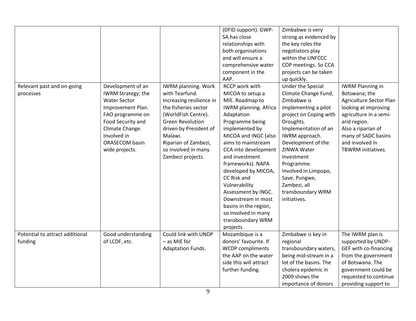| (DFID support). GWP-<br>Zimbabwe is very<br>SA has close<br>strong as evidenced by<br>relationships with<br>the key roles the<br>both organisations<br>negotiators play<br>and will ensure a<br>within the UNFCCC<br>comprehensive water<br>COP meetings. So CCA<br>component in the<br>projects can be taken<br>AAP.<br>up quickly.<br><b>RCCP work with</b><br>Under the Special<br>Development of an<br><b>IWRM planning. Work</b><br><b>IWRM Planning in</b><br>Relevant past and on-going<br><b>IWRM Strategy; the</b><br>with Tearfund.<br>MICOA to setup a<br>Climate Change Fund,<br>Botswana; the<br>processes<br><b>Water Sector</b><br>Zimbabwe is<br>Agriculture Sector Plan<br>Increasing resilience in<br>MIE. Roadmap to<br>Improvement Plan.<br>the fisheries sector<br><b>IWRM</b> planning. Africa<br>implementing a pilot<br>looking at improving<br>(WorldFish Centre).<br>agriculture in a semi-<br>FAO programme on<br>Adaptation<br>project on Coping with<br>Programme being<br>Droughts.<br>arid region.<br>Food Security and<br><b>Green Revolution</b><br>implemented by<br>Climate Change.<br>driven by President of<br>Implementation of an<br>Also a riparian of<br>Involved in<br>Malawi.<br>MICOA and INGC (also<br>IWRM approach.<br>many of SADC basins<br>Development of the<br>and involved in<br><b>ORASECOM basin</b><br>Riparian of Zambezi,<br>aims to mainstream<br>so involved in many<br>CCA into development<br>ZINWA Water<br>TBWRM initiatives.<br>wide projects.<br>Zambezi projects.<br>and investment<br>Investment<br>frameworks). NAPA<br>Programme.<br>developed by MICOA,<br>Involved in Limpopo,<br>CC Risk and<br>Save, Pungwe,<br>Vulnerability<br>Zambezi, all<br>transboundary WRM<br>Assessment by INGC.<br>Downstream in most<br>initiatives.<br>basins in the region,<br>so involved in many<br>transboundary WRM<br>projects.<br>Potential to attract additional<br>Could link with UNDP<br>The IWRM plan is<br>Good understanding<br>Mozambique is a<br>Zimbabwe is key in<br>- as MIE for<br>donors' favourite. If<br>of LCDF, etc.<br>regional<br>supported by UNDP-<br>funding<br>GEF with co-financing<br>Adaptation Funds.<br><b>WCDP</b> compliments<br>transboundary waters,<br>the AAP on the water<br>being mid-stream in a<br>from the government<br>side this will attract<br>lot of the basins. The<br>of Botswana. The |  |  |  |
|----------------------------------------------------------------------------------------------------------------------------------------------------------------------------------------------------------------------------------------------------------------------------------------------------------------------------------------------------------------------------------------------------------------------------------------------------------------------------------------------------------------------------------------------------------------------------------------------------------------------------------------------------------------------------------------------------------------------------------------------------------------------------------------------------------------------------------------------------------------------------------------------------------------------------------------------------------------------------------------------------------------------------------------------------------------------------------------------------------------------------------------------------------------------------------------------------------------------------------------------------------------------------------------------------------------------------------------------------------------------------------------------------------------------------------------------------------------------------------------------------------------------------------------------------------------------------------------------------------------------------------------------------------------------------------------------------------------------------------------------------------------------------------------------------------------------------------------------------------------------------------------------------------------------------------------------------------------------------------------------------------------------------------------------------------------------------------------------------------------------------------------------------------------------------------------------------------------------------------------------------------------------------------------------------------------------------------------------------------------------------------------------------|--|--|--|
|                                                                                                                                                                                                                                                                                                                                                                                                                                                                                                                                                                                                                                                                                                                                                                                                                                                                                                                                                                                                                                                                                                                                                                                                                                                                                                                                                                                                                                                                                                                                                                                                                                                                                                                                                                                                                                                                                                                                                                                                                                                                                                                                                                                                                                                                                                                                                                                                    |  |  |  |
|                                                                                                                                                                                                                                                                                                                                                                                                                                                                                                                                                                                                                                                                                                                                                                                                                                                                                                                                                                                                                                                                                                                                                                                                                                                                                                                                                                                                                                                                                                                                                                                                                                                                                                                                                                                                                                                                                                                                                                                                                                                                                                                                                                                                                                                                                                                                                                                                    |  |  |  |
|                                                                                                                                                                                                                                                                                                                                                                                                                                                                                                                                                                                                                                                                                                                                                                                                                                                                                                                                                                                                                                                                                                                                                                                                                                                                                                                                                                                                                                                                                                                                                                                                                                                                                                                                                                                                                                                                                                                                                                                                                                                                                                                                                                                                                                                                                                                                                                                                    |  |  |  |
|                                                                                                                                                                                                                                                                                                                                                                                                                                                                                                                                                                                                                                                                                                                                                                                                                                                                                                                                                                                                                                                                                                                                                                                                                                                                                                                                                                                                                                                                                                                                                                                                                                                                                                                                                                                                                                                                                                                                                                                                                                                                                                                                                                                                                                                                                                                                                                                                    |  |  |  |
|                                                                                                                                                                                                                                                                                                                                                                                                                                                                                                                                                                                                                                                                                                                                                                                                                                                                                                                                                                                                                                                                                                                                                                                                                                                                                                                                                                                                                                                                                                                                                                                                                                                                                                                                                                                                                                                                                                                                                                                                                                                                                                                                                                                                                                                                                                                                                                                                    |  |  |  |
|                                                                                                                                                                                                                                                                                                                                                                                                                                                                                                                                                                                                                                                                                                                                                                                                                                                                                                                                                                                                                                                                                                                                                                                                                                                                                                                                                                                                                                                                                                                                                                                                                                                                                                                                                                                                                                                                                                                                                                                                                                                                                                                                                                                                                                                                                                                                                                                                    |  |  |  |
|                                                                                                                                                                                                                                                                                                                                                                                                                                                                                                                                                                                                                                                                                                                                                                                                                                                                                                                                                                                                                                                                                                                                                                                                                                                                                                                                                                                                                                                                                                                                                                                                                                                                                                                                                                                                                                                                                                                                                                                                                                                                                                                                                                                                                                                                                                                                                                                                    |  |  |  |
|                                                                                                                                                                                                                                                                                                                                                                                                                                                                                                                                                                                                                                                                                                                                                                                                                                                                                                                                                                                                                                                                                                                                                                                                                                                                                                                                                                                                                                                                                                                                                                                                                                                                                                                                                                                                                                                                                                                                                                                                                                                                                                                                                                                                                                                                                                                                                                                                    |  |  |  |
|                                                                                                                                                                                                                                                                                                                                                                                                                                                                                                                                                                                                                                                                                                                                                                                                                                                                                                                                                                                                                                                                                                                                                                                                                                                                                                                                                                                                                                                                                                                                                                                                                                                                                                                                                                                                                                                                                                                                                                                                                                                                                                                                                                                                                                                                                                                                                                                                    |  |  |  |
|                                                                                                                                                                                                                                                                                                                                                                                                                                                                                                                                                                                                                                                                                                                                                                                                                                                                                                                                                                                                                                                                                                                                                                                                                                                                                                                                                                                                                                                                                                                                                                                                                                                                                                                                                                                                                                                                                                                                                                                                                                                                                                                                                                                                                                                                                                                                                                                                    |  |  |  |
|                                                                                                                                                                                                                                                                                                                                                                                                                                                                                                                                                                                                                                                                                                                                                                                                                                                                                                                                                                                                                                                                                                                                                                                                                                                                                                                                                                                                                                                                                                                                                                                                                                                                                                                                                                                                                                                                                                                                                                                                                                                                                                                                                                                                                                                                                                                                                                                                    |  |  |  |
|                                                                                                                                                                                                                                                                                                                                                                                                                                                                                                                                                                                                                                                                                                                                                                                                                                                                                                                                                                                                                                                                                                                                                                                                                                                                                                                                                                                                                                                                                                                                                                                                                                                                                                                                                                                                                                                                                                                                                                                                                                                                                                                                                                                                                                                                                                                                                                                                    |  |  |  |
|                                                                                                                                                                                                                                                                                                                                                                                                                                                                                                                                                                                                                                                                                                                                                                                                                                                                                                                                                                                                                                                                                                                                                                                                                                                                                                                                                                                                                                                                                                                                                                                                                                                                                                                                                                                                                                                                                                                                                                                                                                                                                                                                                                                                                                                                                                                                                                                                    |  |  |  |
|                                                                                                                                                                                                                                                                                                                                                                                                                                                                                                                                                                                                                                                                                                                                                                                                                                                                                                                                                                                                                                                                                                                                                                                                                                                                                                                                                                                                                                                                                                                                                                                                                                                                                                                                                                                                                                                                                                                                                                                                                                                                                                                                                                                                                                                                                                                                                                                                    |  |  |  |
|                                                                                                                                                                                                                                                                                                                                                                                                                                                                                                                                                                                                                                                                                                                                                                                                                                                                                                                                                                                                                                                                                                                                                                                                                                                                                                                                                                                                                                                                                                                                                                                                                                                                                                                                                                                                                                                                                                                                                                                                                                                                                                                                                                                                                                                                                                                                                                                                    |  |  |  |
|                                                                                                                                                                                                                                                                                                                                                                                                                                                                                                                                                                                                                                                                                                                                                                                                                                                                                                                                                                                                                                                                                                                                                                                                                                                                                                                                                                                                                                                                                                                                                                                                                                                                                                                                                                                                                                                                                                                                                                                                                                                                                                                                                                                                                                                                                                                                                                                                    |  |  |  |
|                                                                                                                                                                                                                                                                                                                                                                                                                                                                                                                                                                                                                                                                                                                                                                                                                                                                                                                                                                                                                                                                                                                                                                                                                                                                                                                                                                                                                                                                                                                                                                                                                                                                                                                                                                                                                                                                                                                                                                                                                                                                                                                                                                                                                                                                                                                                                                                                    |  |  |  |
|                                                                                                                                                                                                                                                                                                                                                                                                                                                                                                                                                                                                                                                                                                                                                                                                                                                                                                                                                                                                                                                                                                                                                                                                                                                                                                                                                                                                                                                                                                                                                                                                                                                                                                                                                                                                                                                                                                                                                                                                                                                                                                                                                                                                                                                                                                                                                                                                    |  |  |  |
|                                                                                                                                                                                                                                                                                                                                                                                                                                                                                                                                                                                                                                                                                                                                                                                                                                                                                                                                                                                                                                                                                                                                                                                                                                                                                                                                                                                                                                                                                                                                                                                                                                                                                                                                                                                                                                                                                                                                                                                                                                                                                                                                                                                                                                                                                                                                                                                                    |  |  |  |
|                                                                                                                                                                                                                                                                                                                                                                                                                                                                                                                                                                                                                                                                                                                                                                                                                                                                                                                                                                                                                                                                                                                                                                                                                                                                                                                                                                                                                                                                                                                                                                                                                                                                                                                                                                                                                                                                                                                                                                                                                                                                                                                                                                                                                                                                                                                                                                                                    |  |  |  |
|                                                                                                                                                                                                                                                                                                                                                                                                                                                                                                                                                                                                                                                                                                                                                                                                                                                                                                                                                                                                                                                                                                                                                                                                                                                                                                                                                                                                                                                                                                                                                                                                                                                                                                                                                                                                                                                                                                                                                                                                                                                                                                                                                                                                                                                                                                                                                                                                    |  |  |  |
|                                                                                                                                                                                                                                                                                                                                                                                                                                                                                                                                                                                                                                                                                                                                                                                                                                                                                                                                                                                                                                                                                                                                                                                                                                                                                                                                                                                                                                                                                                                                                                                                                                                                                                                                                                                                                                                                                                                                                                                                                                                                                                                                                                                                                                                                                                                                                                                                    |  |  |  |
|                                                                                                                                                                                                                                                                                                                                                                                                                                                                                                                                                                                                                                                                                                                                                                                                                                                                                                                                                                                                                                                                                                                                                                                                                                                                                                                                                                                                                                                                                                                                                                                                                                                                                                                                                                                                                                                                                                                                                                                                                                                                                                                                                                                                                                                                                                                                                                                                    |  |  |  |
|                                                                                                                                                                                                                                                                                                                                                                                                                                                                                                                                                                                                                                                                                                                                                                                                                                                                                                                                                                                                                                                                                                                                                                                                                                                                                                                                                                                                                                                                                                                                                                                                                                                                                                                                                                                                                                                                                                                                                                                                                                                                                                                                                                                                                                                                                                                                                                                                    |  |  |  |
|                                                                                                                                                                                                                                                                                                                                                                                                                                                                                                                                                                                                                                                                                                                                                                                                                                                                                                                                                                                                                                                                                                                                                                                                                                                                                                                                                                                                                                                                                                                                                                                                                                                                                                                                                                                                                                                                                                                                                                                                                                                                                                                                                                                                                                                                                                                                                                                                    |  |  |  |
|                                                                                                                                                                                                                                                                                                                                                                                                                                                                                                                                                                                                                                                                                                                                                                                                                                                                                                                                                                                                                                                                                                                                                                                                                                                                                                                                                                                                                                                                                                                                                                                                                                                                                                                                                                                                                                                                                                                                                                                                                                                                                                                                                                                                                                                                                                                                                                                                    |  |  |  |
|                                                                                                                                                                                                                                                                                                                                                                                                                                                                                                                                                                                                                                                                                                                                                                                                                                                                                                                                                                                                                                                                                                                                                                                                                                                                                                                                                                                                                                                                                                                                                                                                                                                                                                                                                                                                                                                                                                                                                                                                                                                                                                                                                                                                                                                                                                                                                                                                    |  |  |  |
|                                                                                                                                                                                                                                                                                                                                                                                                                                                                                                                                                                                                                                                                                                                                                                                                                                                                                                                                                                                                                                                                                                                                                                                                                                                                                                                                                                                                                                                                                                                                                                                                                                                                                                                                                                                                                                                                                                                                                                                                                                                                                                                                                                                                                                                                                                                                                                                                    |  |  |  |
|                                                                                                                                                                                                                                                                                                                                                                                                                                                                                                                                                                                                                                                                                                                                                                                                                                                                                                                                                                                                                                                                                                                                                                                                                                                                                                                                                                                                                                                                                                                                                                                                                                                                                                                                                                                                                                                                                                                                                                                                                                                                                                                                                                                                                                                                                                                                                                                                    |  |  |  |
|                                                                                                                                                                                                                                                                                                                                                                                                                                                                                                                                                                                                                                                                                                                                                                                                                                                                                                                                                                                                                                                                                                                                                                                                                                                                                                                                                                                                                                                                                                                                                                                                                                                                                                                                                                                                                                                                                                                                                                                                                                                                                                                                                                                                                                                                                                                                                                                                    |  |  |  |
|                                                                                                                                                                                                                                                                                                                                                                                                                                                                                                                                                                                                                                                                                                                                                                                                                                                                                                                                                                                                                                                                                                                                                                                                                                                                                                                                                                                                                                                                                                                                                                                                                                                                                                                                                                                                                                                                                                                                                                                                                                                                                                                                                                                                                                                                                                                                                                                                    |  |  |  |
|                                                                                                                                                                                                                                                                                                                                                                                                                                                                                                                                                                                                                                                                                                                                                                                                                                                                                                                                                                                                                                                                                                                                                                                                                                                                                                                                                                                                                                                                                                                                                                                                                                                                                                                                                                                                                                                                                                                                                                                                                                                                                                                                                                                                                                                                                                                                                                                                    |  |  |  |
|                                                                                                                                                                                                                                                                                                                                                                                                                                                                                                                                                                                                                                                                                                                                                                                                                                                                                                                                                                                                                                                                                                                                                                                                                                                                                                                                                                                                                                                                                                                                                                                                                                                                                                                                                                                                                                                                                                                                                                                                                                                                                                                                                                                                                                                                                                                                                                                                    |  |  |  |
|                                                                                                                                                                                                                                                                                                                                                                                                                                                                                                                                                                                                                                                                                                                                                                                                                                                                                                                                                                                                                                                                                                                                                                                                                                                                                                                                                                                                                                                                                                                                                                                                                                                                                                                                                                                                                                                                                                                                                                                                                                                                                                                                                                                                                                                                                                                                                                                                    |  |  |  |
| further funding.<br>cholera epidemic in<br>government could be                                                                                                                                                                                                                                                                                                                                                                                                                                                                                                                                                                                                                                                                                                                                                                                                                                                                                                                                                                                                                                                                                                                                                                                                                                                                                                                                                                                                                                                                                                                                                                                                                                                                                                                                                                                                                                                                                                                                                                                                                                                                                                                                                                                                                                                                                                                                     |  |  |  |
| 2009 shows the<br>requested to continue                                                                                                                                                                                                                                                                                                                                                                                                                                                                                                                                                                                                                                                                                                                                                                                                                                                                                                                                                                                                                                                                                                                                                                                                                                                                                                                                                                                                                                                                                                                                                                                                                                                                                                                                                                                                                                                                                                                                                                                                                                                                                                                                                                                                                                                                                                                                                            |  |  |  |
| importance of donors<br>providing support to                                                                                                                                                                                                                                                                                                                                                                                                                                                                                                                                                                                                                                                                                                                                                                                                                                                                                                                                                                                                                                                                                                                                                                                                                                                                                                                                                                                                                                                                                                                                                                                                                                                                                                                                                                                                                                                                                                                                                                                                                                                                                                                                                                                                                                                                                                                                                       |  |  |  |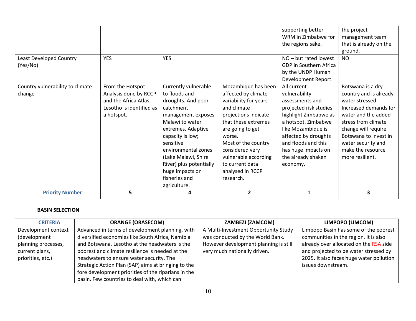|                                  |                          |                         |                       | supporting better      | the project            |
|----------------------------------|--------------------------|-------------------------|-----------------------|------------------------|------------------------|
|                                  |                          |                         |                       | WRM in Zimbabwe for    | management team        |
|                                  |                          |                         |                       | the regions sake.      | that is already on the |
|                                  |                          |                         |                       |                        | ground.                |
| Least Developed Country          | <b>YES</b>               | <b>YES</b>              |                       | NO-but rated lowest    | <b>NO</b>              |
| (Yes/No)                         |                          |                         |                       | GDP in Southern Africa |                        |
|                                  |                          |                         |                       | by the UNDP Human      |                        |
|                                  |                          |                         |                       | Development Report.    |                        |
| Country vulnerability to climate | From the Hotspot         | Currently vulnerable    | Mozambique has been   | All current            | Botswana is a dry      |
| change                           | Analysis done by RCCP    | to floods and           | affected by climate   | vulnerability          | country and is already |
|                                  | and the Africa Atlas,    | droughts. And poor      | variability for years | assessments and        | water stressed.        |
|                                  | Lesotho is identified as | catchment               | and climate           | projected risk studies | Increased demands for  |
|                                  | a hotspot.               | management exposes      | projections indicate  | highlight Zimbabwe as  | water and the added    |
|                                  |                          | Malawi to water         | that these extremes   | a hotspot. Zimbabwe    | stress from climate    |
|                                  |                          | extremes. Adaptive      | are going to get      | like Mozambique is     | change will require    |
|                                  |                          | capacity is low;        | worse.                | affected by droughts   | Botswana to invest in  |
|                                  |                          | sensitive               | Most of the country   | and floods and this    | water security and     |
|                                  |                          | environmental zones     | considered very       | has huge impacts on    | make the resource      |
|                                  |                          | (Lake Malawi, Shire     | vulnerable according  | the already shaken     | more resilient.        |
|                                  |                          | River) plus potentially | to current data       | economy.               |                        |
|                                  |                          | huge impacts on         | analysed in RCCP      |                        |                        |
|                                  |                          | fisheries and           | research.             |                        |                        |
|                                  |                          | agriculture.            |                       |                        |                        |
| <b>Priority Number</b>           | 5                        | 4                       | $\overline{2}$        | $\mathbf{1}$           | 3                      |

| <b>CRITERIA</b>     | <b>ORANGE (ORASECOM)</b>                            | <b>ZAMBEZI (ZAMCOM)</b>               | LIMPOPO (LIMCOM)                         |
|---------------------|-----------------------------------------------------|---------------------------------------|------------------------------------------|
| Development context | Advanced in terms of development planning, with     | A Multi-Investment Opportunity Study  | Limpopo Basin has some of the poorest    |
| (development        | diversified economies like South Africa, Namibia    | was conducted by the World Bank.      | communities in the region. It is also    |
| planning processes, | and Botswana. Lesotho at the headwaters is the      | However development planning is still | already over allocated on the RSA side   |
| current plans,      | poorest and climate resilience is needed at the     | very much nationally driven.          | and projected to be water stressed by    |
| priorities, etc.)   | headwaters to ensure water security. The            |                                       | 2025. It also faces huge water pollution |
|                     | Strategic Action Plan (SAP) aims at bringing to the |                                       | issues downstream.                       |
|                     | fore development priorities of the riparians in the |                                       |                                          |
|                     | basin. Few countries to deal with, which can        |                                       |                                          |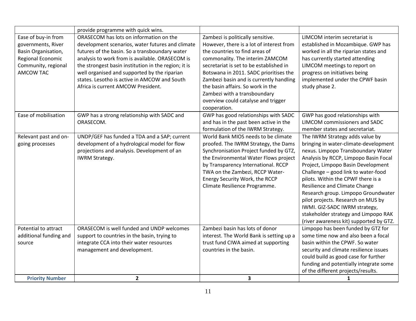|                        | provide programme with quick wins.                   |                                          |                                         |
|------------------------|------------------------------------------------------|------------------------------------------|-----------------------------------------|
| Ease of buy-in from    | ORASECOM has lots on information on the              | Zambezi is politically sensitive.        | LIMCOM interim secretariat is           |
| governments, River     | development scenarios, water futures and climate     | However, there is a lot of interest from | established in Mozambique. GWP has      |
| Basin Organisation,    | futures of the basin. So a transboundary water       | the countries to find areas of           | worked in all the riparian states and   |
| Regional Economic      | analysis to work from is available. ORASECOM is      | commonality. The interim ZAMCOM          | has currently started attending         |
| Community, regional    | the strongest basin institution in the region; it is | secretariat is set to be established in  | LIMCOM meetings to report on            |
| AMCOW TAC              | well organised and supported by the riparian         | Botswana in 2011. SADC prioritises the   | progress on initiatives being           |
|                        | states. Lesotho is active in AMCOW and South         | Zambezi basin and is currently handling  | implemented under the CPWF basin        |
|                        | Africa is current AMCOW President.                   | the basin affairs. So work in the        | study phase 2.                          |
|                        |                                                      | Zambezi with a transboundary             |                                         |
|                        |                                                      | overview could catalyse and trigger      |                                         |
|                        |                                                      | cooperation.                             |                                         |
| Ease of mobilisation   | GWP has a strong relationship with SADC and          | GWP has good relationships with SADC     | GWP has good relationships with         |
|                        | ORASECOM.                                            | and has in the past been active in the   | <b>LIMCOM</b> commissioners and SADC    |
|                        |                                                      | formulation of the IWRM Strategy.        | member states and secretariat.          |
| Relevant past and on-  | UNDP/GEF has funded a TDA and a SAP; current         | World Bank MIOS needs to be climate      | The IWRM Strategy adds value by         |
| going processes        | development of a hydrological model for flow         | proofed. The IWRM Strategy, the Dams     | bringing in water-climate-development   |
|                        | projections and analysis. Development of an          | Synchronisation Project funded by GTZ,   | nexus. Limpopo Transboundary Water      |
|                        | <b>IWRM Strategy.</b>                                | the Environmental Water Flows project    | Analysis by RCCP, Limpopo Basin Focal   |
|                        |                                                      | by Transparency International. RCCP      | Project, Limpopo Basin Development      |
|                        |                                                      | TWA on the Zambezi, RCCP Water-          | Challenge - good link to water-food     |
|                        |                                                      | Energy Security Work, the RCCP           | pilots. Within the CPWF there is a      |
|                        |                                                      | Climate Resilience Programme.            | <b>Resilience and Climate Change</b>    |
|                        |                                                      |                                          | Research group. Limpopo Groundwater     |
|                        |                                                      |                                          | pilot projects. Research on MUS by      |
|                        |                                                      |                                          | IWMI. GIZ-SADC IWRM strategy,           |
|                        |                                                      |                                          | stakeholder strategy and Limpopo RAK    |
|                        |                                                      |                                          | (river awareness kit) supported by GTZ. |
| Potential to attract   | ORASECOM is well funded and UNDP welcomes            | Zambezi basin has lots of donor          | Limpopo has been funded by GTZ for      |
| additional funding and | support to countries in the basin, trying to         | interest. The World Bank is setting up a | some time now and also been a focal     |
| source                 | integrate CCA into their water resources             | trust fund CIWA aimed at supporting      | basin within the CPWF. So water         |
|                        | management and development.                          | countries in the basin.                  | security and climate resilience issues  |
|                        |                                                      |                                          | could build as good case for further    |
|                        |                                                      |                                          | funding and potentially integrate some  |
|                        |                                                      |                                          | of the different projects/results.      |
| <b>Priority Number</b> | $\overline{2}$                                       | $\overline{\mathbf{3}}$                  | 1                                       |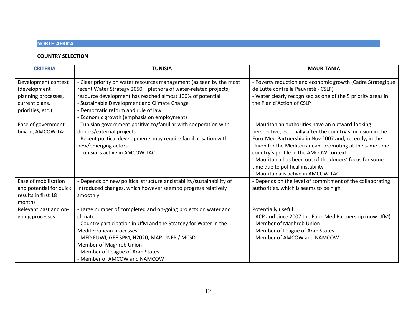#### **NORTH AFRICA**

| <b>CRITERIA</b>                                                                                   | <b>TUNISIA</b>                                                                                                                                                                                                                                                                                                                              | <b>MAURITANIA</b>                                                                                                                                                                                                                                                                                                                                                                                                        |
|---------------------------------------------------------------------------------------------------|---------------------------------------------------------------------------------------------------------------------------------------------------------------------------------------------------------------------------------------------------------------------------------------------------------------------------------------------|--------------------------------------------------------------------------------------------------------------------------------------------------------------------------------------------------------------------------------------------------------------------------------------------------------------------------------------------------------------------------------------------------------------------------|
| Development context<br>(development<br>planning processes,<br>current plans,<br>priorities, etc.) | - Clear priority on water resources management (as seen by the most<br>recent Water Strategy 2050 - plethora of water-related projects) -<br>resource development has reached almost 100% of potential<br>- Sustainable Development and Climate Change<br>- Democratic reform and rule of law<br>- Economic growth (emphasis on employment) | - Poverty reduction and economic growth (Cadre Stratégique<br>de Lutte contre la Pauvreté - CSLP)<br>- Water clearly recognised as one of the 5 priority areas in<br>the Plan d'Action of CSLP                                                                                                                                                                                                                           |
| Ease of government<br>buy-in, AMCOW TAC                                                           | - Tunisian government positive to/familiar with cooperation with<br>donors/external projects<br>- Recent political developments may require familiarisation with<br>new/emerging actors<br>- Tunisia is active in AMCOW TAC                                                                                                                 | - Mauritanian authorities have an outward-looking<br>perspective, especially after the country's inclusion in the<br>Euro-Med Partnership in Nov 2007 and, recently, in the<br>Union for the Mediterranean, promoting at the same time<br>country's profile in the AMCOW context.<br>- Mauritania has been out of the donors' focus for some<br>time due to political instability<br>- Mauritania is active in AMCOW TAC |
| Ease of mobilisation<br>and potential for quick<br>results in first 18<br>months                  | - Depends on new political structure and stability/sustainability of<br>introduced changes, which however seem to progress relatively<br>smoothly                                                                                                                                                                                           | - Depends on the level of commitment of the collaborating<br>authorities, which is seems to be high                                                                                                                                                                                                                                                                                                                      |
| Relevant past and on-<br>going processes                                                          | - Large number of completed and on-going projects on water and<br>climate<br>- Country participation in UfM and the Strategy for Water in the<br>Mediterranean processes<br>- MED EUWI, GEF SPM, H2020, MAP UNEP / MCSD<br>Member of Maghreb Union<br>- Member of League of Arab States<br>- Member of AMCOW and NAMCOW                     | Potentially useful:<br>- ACP and since 2007 the Euro-Med Partnership (now UfM)<br>- Member of Maghreb Union<br>- Member of League of Arab States<br>- Member of AMCOW and NAMCOW                                                                                                                                                                                                                                         |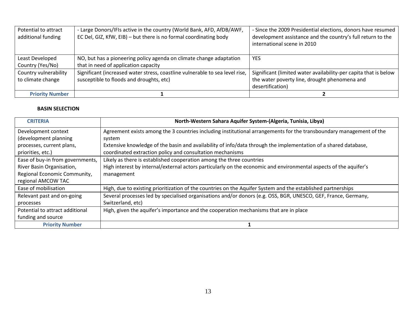| Potential to attract<br>additional funding | - Large Donors/IFIs active in the country (World Bank, AFD, AfDB/AWF,<br>EC Del, GIZ, KfW, EIB) - but there is no formal coordinating body | - Since the 2009 Presidential elections, donors have resumed<br>development assistance and the country's full return to the<br>international scene in 2010 |
|--------------------------------------------|--------------------------------------------------------------------------------------------------------------------------------------------|------------------------------------------------------------------------------------------------------------------------------------------------------------|
| Least Developed                            | NO, but has a pioneering policy agenda on climate change adaptation                                                                        | <b>YES</b>                                                                                                                                                 |
| Country (Yes/No)                           | that in need of application capacity                                                                                                       |                                                                                                                                                            |
| Country vulnerability                      | Significant (increased water stress, coastline vulnerable to sea level rise,                                                               | Significant (limited water availability-per capita that is below                                                                                           |
| to climate change                          | susceptible to floods and droughts, etc)                                                                                                   | the water poverty line, drought phenomena and                                                                                                              |
|                                            |                                                                                                                                            | desertification)                                                                                                                                           |
| <b>Priority Number</b>                     |                                                                                                                                            |                                                                                                                                                            |

| <b>CRITERIA</b>                  | North-Western Sahara Aquifer System-(Algeria, Tunisia, Libya)                                                       |
|----------------------------------|---------------------------------------------------------------------------------------------------------------------|
| Development context              | Agreement exists among the 3 countries including institutional arrangements for the transboundary management of the |
| (development planning            | system                                                                                                              |
| processes, current plans,        | Extensive knowledge of the basin and availability of info/data through the implementation of a shared database,     |
| priorities, etc.)                | coordinated extraction policy and consultation mechanisms                                                           |
| Ease of buy-in from governments, | Likely as there is established cooperation among the three countries                                                |
| River Basin Organisation,        | High interest by internal/external actors particularly on the economic and environmental aspects of the aquifer's   |
| Regional Economic Community,     | management                                                                                                          |
| regional AMCOW TAC               |                                                                                                                     |
| Ease of mobilisation             | High, due to existing prioritization of the countries on the Aquifer System and the established partnerships        |
| Relevant past and on-going       | Several processes led by specialised organisations and/or donors (e.g. OSS, BGR, UNESCO, GEF, France, Germany,      |
| processes                        | Switzerland, etc)                                                                                                   |
| Potential to attract additional  | High, given the aquifer's importance and the cooperation mechanisms that are in place                               |
| funding and source               |                                                                                                                     |
| <b>Priority Number</b>           |                                                                                                                     |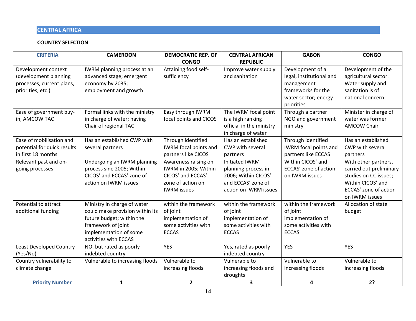#### **CENTRAL AFRICA**

| <b>CRITERIA</b>                | <b>CAMEROON</b>                 | <b>DEMOCRATIC REP. OF</b> | <b>CENTRAL AFRICAN</b>   | <b>GABON</b>                 | <b>CONGO</b>            |
|--------------------------------|---------------------------------|---------------------------|--------------------------|------------------------------|-------------------------|
|                                |                                 | <b>CONGO</b>              | <b>REPUBLIC</b>          |                              |                         |
| Development context            | IWRM planning process at an     | Attaining food self-      | Improve water supply     | Development of a             | Development of the      |
| (development planning          | advanced stage; emergent        | sufficiency               | and sanitation           | legal, institutional and     | agricultural sector.    |
| processes, current plans,      | economy by 2035;                |                           |                          | management                   | Water supply and        |
| priorities, etc.)              | employment and growth           |                           |                          | frameworks for the           | sanitation is of        |
|                                |                                 |                           |                          | water sector; energy         | national concern        |
|                                |                                 |                           |                          | priorities                   |                         |
| Ease of government buy-        | Formal links with the ministry  | Easy through IWRM         | The IWRM focal point     | Through a partner            | Minister in charge of   |
| in, AMCOW TAC                  | in charge of water; having      | focal points and CICOS    | is a high ranking        | NGO and government           | water was former        |
|                                | Chair of regional TAC           |                           | official in the ministry | ministry                     | <b>AMCOW Chair</b>      |
|                                |                                 |                           | in charge of water       |                              |                         |
| Ease of mobilisation and       | Has an established CWP with     | Through identified        | Has an established       | Through identified           | Has an established      |
| potential for quick results    | several partners                | IWRM focal points and     | CWP with several         | <b>IWRM</b> focal points and | CWP with several        |
| in first 18 months             |                                 | partners like CICOS       | partners                 | partners like ECCAS          | partners                |
| Relevant past and on-          | Undergoing an IWRM planning     | Awareness raising on      | <b>Initiated IWRM</b>    | Within CICOS' and            | With other partners,    |
| going processes                | process sine 2005; Within       | IWRM in 2005; Within      | planning process in      | ECCAS' zone of action        | carried out preliminary |
|                                | CICOS' and ECCAS' zone of       | CICOS' and ECCAS'         | 2006; Within CICOS'      | on IWRM issues               | studies on CC issues;   |
|                                | action on IWRM issues           | zone of action on         | and ECCAS' zone of       |                              | Within CICOS' and       |
|                                |                                 | <b>IWRM</b> issues        | action on IWRM issues    |                              | ECCAS' zone of action   |
|                                |                                 |                           |                          |                              | on IWRM issues          |
| Potential to attract           | Ministry in charge of water     | within the framework      | within the framework     | within the framework         | Allocation of state     |
| additional funding             | could make provision within its | of joint                  | of joint                 | of joint                     | budget                  |
|                                | future budget; within the       | implementation of         | implementation of        | implementation of            |                         |
|                                | framework of joint              | some activities with      | some activities with     | some activities with         |                         |
|                                | implementation of some          | <b>ECCAS</b>              | <b>ECCAS</b>             | <b>ECCAS</b>                 |                         |
|                                | activities with ECCAS           |                           |                          |                              |                         |
| <b>Least Developed Country</b> | NO, but rated as poorly         | <b>YES</b>                | Yes, rated as poorly     | <b>YES</b>                   | <b>YES</b>              |
| (Yes/No)                       | indebted country                |                           | indebted country         |                              |                         |
| Country vulnerability to       | Vulnerable to increasing floods | Vulnerable to             | Vulnerable to            | Vulnerable to                | Vulnerable to           |
| climate change                 |                                 | increasing floods         | increasing floods and    | increasing floods            | increasing floods       |
|                                |                                 |                           | droughts                 |                              |                         |
| <b>Priority Number</b>         | $\mathbf{1}$                    | $\overline{2}$            | 3                        | 4                            | 2?                      |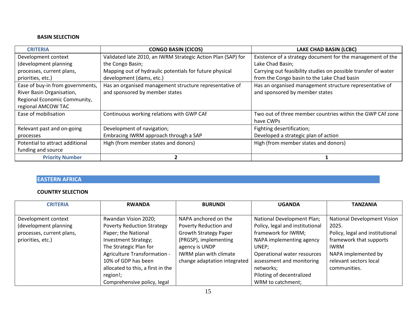| <b>CRITERIA</b>                  | <b>CONGO BASIN (CICOS)</b>                                   | <b>LAKE CHAD BASIN (LCBC)</b>                                  |
|----------------------------------|--------------------------------------------------------------|----------------------------------------------------------------|
| Development context              | Validated late 2010, an IWRM Strategic Action Plan (SAP) for | Existence of a strategy document for the management of the     |
| (development planning            | the Congo Basin;                                             | Lake Chad Basin;                                               |
| processes, current plans,        | Mapping out of hydraulic potentials for future physical      | Carrying out feasibility studies on possible transfer of water |
| priorities, etc.)                | development (dams, etc.)                                     | from the Congo basin to the Lake Chad basin                    |
| Ease of buy-in from governments, | Has an organised management structure representative of      | Has an organised management structure representative of        |
| River Basin Organisation,        | and sponsored by member states                               | and sponsored by member states                                 |
| Regional Economic Community,     |                                                              |                                                                |
| regional AMCOW TAC               |                                                              |                                                                |
| Ease of mobilisation             | Continuous working relations with GWP CAf                    | Two out of three member countries within the GWP CAf zone      |
|                                  |                                                              | have CWPs                                                      |
| Relevant past and on-going       | Development of navigation;                                   | Fighting desertification;                                      |
| processes                        | Embracing IWRM approach through a SAP                        | Developed a strategic plan of action                           |
| Potential to attract additional  | High (from member states and donors)                         | High (from member states and donors)                           |
| funding and source               |                                                              |                                                                |
| <b>Priority Number</b>           |                                                              |                                                                |

#### **EASTERN AFRICA**

| <b>CRITERIA</b>           | <b>RWANDA</b>                     | <b>BURUNDI</b>               | <b>UGANDA</b>                   | <b>TANZANIA</b>                 |
|---------------------------|-----------------------------------|------------------------------|---------------------------------|---------------------------------|
|                           |                                   |                              |                                 |                                 |
| Development context       | Rwandan Vision 2020;              | NAPA anchored on the         | National Development Plan;      | National Development Vision     |
| (development planning     | <b>Poverty Reduction Strategy</b> | Poverty Reduction and        | Policy, legal and institutional | 2025.                           |
| processes, current plans, | Paper; the National               | <b>Growth Strategy Paper</b> | framework for IWRM;             | Policy, legal and institutional |
| priorities, etc.)         | Investment Strategy;              | (PRGSP), implementing        | NAPA implementing agency        | framework that supports         |
|                           | The Strategic Plan for            | agency is UNDP               | UNEP:                           | <b>IWRM</b>                     |
|                           | Agriculture Transformation -      | IWRM plan with climate       | Operational water resources     | NAPA implemented by             |
|                           | 10% of GDP has been               | change adaptation integrated | assessment and monitoring       | relevant sectors local          |
|                           | allocated to this, a first in the |                              | networks;                       | communities.                    |
|                           | region!;                          |                              | Piloting of decentralized       |                                 |
|                           | Comprehensive policy, legal       |                              | WRM to catchment;               |                                 |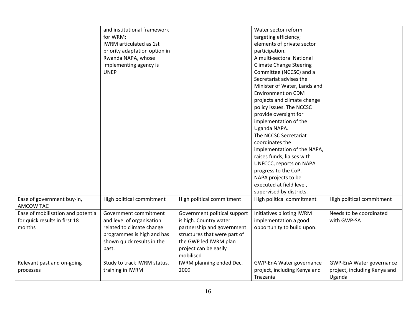|                                                | and institutional framework   |                              | Water sector reform             |                              |
|------------------------------------------------|-------------------------------|------------------------------|---------------------------------|------------------------------|
|                                                | for WRM;                      |                              | targeting efficiency;           |                              |
|                                                | IWRM articulated as 1st       |                              | elements of private sector      |                              |
|                                                | priority adaptation option in |                              | participation.                  |                              |
|                                                | Rwanda NAPA, whose            |                              | A multi-sectoral National       |                              |
|                                                | implementing agency is        |                              | <b>Climate Change Steering</b>  |                              |
|                                                | <b>UNEP</b>                   |                              | Committee (NCCSC) and a         |                              |
|                                                |                               |                              | Secretariat advises the         |                              |
|                                                |                               |                              | Minister of Water, Lands and    |                              |
|                                                |                               |                              | <b>Environment on CDM</b>       |                              |
|                                                |                               |                              | projects and climate change     |                              |
|                                                |                               |                              | policy issues. The NCCSC        |                              |
|                                                |                               |                              | provide oversight for           |                              |
|                                                |                               |                              | implementation of the           |                              |
|                                                |                               |                              | Uganda NAPA.                    |                              |
|                                                |                               |                              | The NCCSC Secretariat           |                              |
|                                                |                               |                              | coordinates the                 |                              |
|                                                |                               |                              | implementation of the NAPA,     |                              |
|                                                |                               |                              | raises funds, liaises with      |                              |
|                                                |                               |                              | UNFCCC, reports on NAPA         |                              |
|                                                |                               |                              | progress to the CoP.            |                              |
|                                                |                               |                              | NAPA projects to be             |                              |
|                                                |                               |                              | executed at field level,        |                              |
|                                                |                               |                              | supervised by districts.        |                              |
|                                                |                               |                              | High political commitment       |                              |
| Ease of government buy-in,<br><b>AMCOW TAC</b> | High political commitment     | High political commitment    |                                 | High political commitment    |
| Ease of mobilisation and potential             | Government commitment         | Government political support | Initiatives piloting IWRM       | Needs to be coordinated      |
| for quick results in first 18                  | and level of organisation     | is high. Country water       | implementation a good           | with GWP-SA                  |
| months                                         | related to climate change     | partnership and government   | opportunity to build upon.      |                              |
|                                                | programmes is high and has    | structures that were part of |                                 |                              |
|                                                | shown quick results in the    | the GWP led IWRM plan        |                                 |                              |
|                                                | past.                         | project can be easily        |                                 |                              |
|                                                |                               | mobilised                    |                                 |                              |
| Relevant past and on-going                     | Study to track IWRM status,   | IWRM planning ended Dec.     | <b>GWP-EnA Water governance</b> | GWP-EnA Water governance     |
| processes                                      | training in IWRM              | 2009                         | project, including Kenya and    | project, including Kenya and |
|                                                |                               |                              | Tnazania                        | Uganda                       |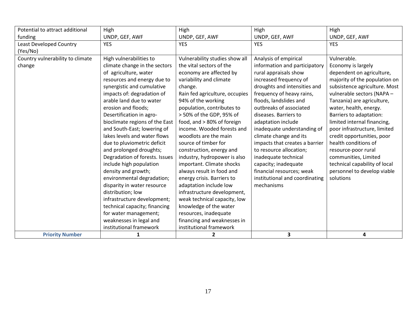| Potential to attract additional  | High                           | High                           | High                           | High                          |
|----------------------------------|--------------------------------|--------------------------------|--------------------------------|-------------------------------|
| funding                          | UNDP, GEF, AWF                 | UNDP, GEF, AWF                 | UNDP, GEF, AWF                 | UNDP, GEF, AWF                |
| <b>Least Developed Country</b>   | <b>YES</b>                     | <b>YES</b>                     | <b>YES</b>                     | <b>YES</b>                    |
| (Yes/No)                         |                                |                                |                                |                               |
| Country vulnerability to climate | High vulnerabilities to        | Vulnerability studies show all | Analysis of empirical          | Vulnerable.                   |
| change                           | climate change in the sectors  | the vital sectors of the       | information and participatory  | Economy is largely            |
|                                  | of agriculture, water          | economy are affected by        | rural appraisals show          | dependent on agriculture,     |
|                                  | resources and energy due to    | variability and climate        | increased frequency of         | majority of the population on |
|                                  | synergistic and cumulative     | change.                        | droughts and intensities and   | subsistence agriculture. Most |
|                                  | impacts of: degradation of     | Rain fed agriculture, occupies | frequency of heavy rains,      | vulnerable sectors (NAPA -    |
|                                  | arable land due to water       | 94% of the working             | floods, landslides and         | Tanzania) are agriculture,    |
|                                  | erosion and floods;            | population, contributes to     | outbreaks of associated        | water, health, energy.        |
|                                  | Desertification in agro-       | > 50% of the GDP, 95% of       | diseases. Barriers to          | Barriers to adaptation:       |
|                                  | bioclimate regions of the East | food, and > 80% of foreign     | adaptation include             | limited internal financing,   |
|                                  | and South-East; lowering of    | income. Wooded forests and     | inadequate understanding of    | poor infrastructure, limited  |
|                                  | lakes levels and water flows   | woodlots are the main          | climate change and its         | credit opportunities, poor    |
|                                  | due to pluviometric deficit    | source of timber for           | impacts that creates a barrier | health conditions of          |
|                                  | and prolonged droughts;        | construction, energy and       | to resource allocation;        | resource-poor rural           |
|                                  | Degradation of forests. Issues | industry, hydropower is also   | inadequate technical           | communities, Limited          |
|                                  | include high population        | important. Climate shocks      | capacity; inadequate           | technical capability of local |
|                                  | density and growth;            | always result in food and      | financial resources; weak      | personnel to develop viable   |
|                                  | environmental degradation;     | energy crisis. Barriers to     | institutional and coordinating | solutions                     |
|                                  | disparity in water resource    | adaptation include low         | mechanisms                     |                               |
|                                  | distribution; low              | infrastructure development,    |                                |                               |
|                                  | infrastructure development;    | weak technical capacity, low   |                                |                               |
|                                  | technical capacity; financing  | knowledge of the water         |                                |                               |
|                                  | for water management;          | resources, inadequate          |                                |                               |
|                                  | weaknesses in legal and        | financing and weaknesses in    |                                |                               |
|                                  | institutional framework        | institutional framework        |                                |                               |
| <b>Priority Number</b>           | 1                              | $\mathbf{2}$                   | 3                              | 4                             |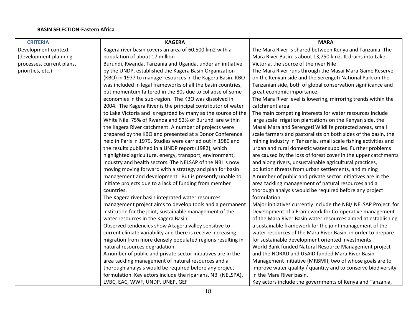#### **BASIN SELECTION-Eastern Africa**

| <b>CRITERIA</b>           | <b>KAGERA</b>                                                 | <b>MARA</b>                                                     |
|---------------------------|---------------------------------------------------------------|-----------------------------------------------------------------|
| Development context       | Kagera river basin covers an area of 60,500 km2 with a        | The Mara River is shared between Kenya and Tanzania. The        |
| (development planning     | population of about 17 million                                | Mara River Basin is about 13,750 km2. It drains into Lake       |
| processes, current plans, | Burundi, Rwanda, Tanzania and Uganda, under an initiative     | Victoria, the source of the river Nile                          |
| priorities, etc.)         | by the UNDP, established the Kagera Basin Organization        | The Mara River runs through the Masai Mara Game Reserve         |
|                           | (KBO) in 1977 to manage resources in the Kagera Basin. KBO    | on the Kenyan side and the Serengeti National Park on the       |
|                           | was included in legal frameworks of all the basin countries,  | Tanzanian side, both of global conservation significance and    |
|                           | but momentum faltered in the 80s due to collapse of some      | great economic importance.                                      |
|                           | economies in the sub-region. The KBO was dissolved in         | The Mara River level is lowering, mirroring trends within the   |
|                           | 2004. The Kagera River is the principal contributor of water  | catchment area                                                  |
|                           | to Lake Victoria and is regarded by many as the source of the | The main competing interests for water resources include        |
|                           | White Nile. 75% of Rwanda and 52% of Burundi are within       | large scale irrigation plantations on the Kenyan side, the      |
|                           | the Kagera River catchment. A number of projects were         | Masai Mara and Serengeti Wildlife protected areas, small        |
|                           | prepared by the KBO and presented at a Donor Conference       | scale farmers and pastoralists on both sides of the basin, the  |
|                           | held in Paris in 1979. Studies were carried out in 1980 and   | mining industry in Tanzania, small scale fishing activities and |
|                           | the results published in a UNDP report (1982), which          | urban and rural domestic water supplies. Further problems       |
|                           | highlighted agriculture, energy, transport, environment,      | are caused by the loss of forest cover in the upper catchments  |
|                           | industry and health sectors. The NELSAP of the NBI is now     | and along rivers, unsustainable agricultural practices,         |
|                           | moving moving forward with a strategy and plan for basin      | pollution threats from urban settlements, and mining            |
|                           | management and development. But is presently unable to        | A number of public and private sector initiatives are in the    |
|                           | initiate projects due to a lack of funding from member        | area tackling management of natural resources and a             |
|                           | countries.                                                    | thorough analysis would be required before any project          |
|                           | The Kagera river basin integrated water resources             | formulation.                                                    |
|                           | management project aims to develop tools and a permanent      | Major initiatives currently include the NBI/ NELSAP Project for |
|                           | institution for the joint, sustainable management of the      | Development of a Framework for Co-operative management          |
|                           | water resources in the Kagera Basin.                          | of the Mara River Basin water resources aimed at establishing   |
|                           | Observed tendencies show Akagera valley sensitive to          | a sustainable framework for the joint management of the         |
|                           | current climate variability and there is receive increasing   | water resources of the Mara River Basin, in order to prepare    |
|                           | migration from more densely populated regions resulting in    | for sustainable development oriented investments                |
|                           | natural resources degradation.                                | World Bank funded Natural Resource Management project           |
|                           | A number of public and private sector initiatives are in the  | and the NORAD and USAID funded Mara River Basin                 |
|                           | area tackling management of natural resources and a           | Management Initiative (MRBMI), two of whose goals are to        |
|                           | thorough analysis would be required before any project        | improve water quality / quantity and to conserve biodiversity   |
|                           | formulation. Key actors include the riparians, NBI (NELSPA),  | in the Mara River basin.                                        |
|                           | LVBC, EAC, WWF, UNDP, UNEP, GEF                               | Key actors include the governments of Kenya and Tanzania,       |